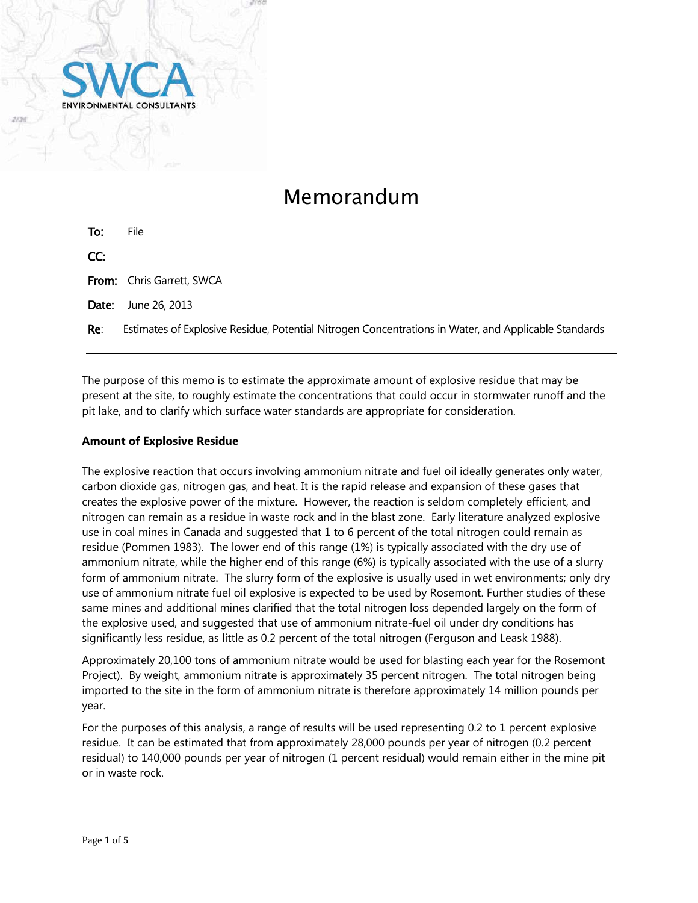

# Memorandum

| To:   | File                                                                                                 |
|-------|------------------------------------------------------------------------------------------------------|
| CC:   |                                                                                                      |
|       | <b>From:</b> Chris Garrett, SWCA                                                                     |
| Date: | June 26, 2013                                                                                        |
| Re∶   | Estimates of Explosive Residue, Potential Nitrogen Concentrations in Water, and Applicable Standards |

The purpose of this memo is to estimate the approximate amount of explosive residue that may be present at the site, to roughly estimate the concentrations that could occur in stormwater runoff and the pit lake, and to clarify which surface water standards are appropriate for consideration.

## **Amount of Explosive Residue**

The explosive reaction that occurs involving ammonium nitrate and fuel oil ideally generates only water, carbon dioxide gas, nitrogen gas, and heat. It is the rapid release and expansion of these gases that creates the explosive power of the mixture. However, the reaction is seldom completely efficient, and nitrogen can remain as a residue in waste rock and in the blast zone. Early literature analyzed explosive use in coal mines in Canada and suggested that 1 to 6 percent of the total nitrogen could remain as residue (Pommen 1983). The lower end of this range (1%) is typically associated with the dry use of ammonium nitrate, while the higher end of this range (6%) is typically associated with the use of a slurry form of ammonium nitrate. The slurry form of the explosive is usually used in wet environments; only dry use of ammonium nitrate fuel oil explosive is expected to be used by Rosemont. Further studies of these same mines and additional mines clarified that the total nitrogen loss depended largely on the form of the explosive used, and suggested that use of ammonium nitrate-fuel oil under dry conditions has significantly less residue, as little as 0.2 percent of the total nitrogen (Ferguson and Leask 1988).

Approximately 20,100 tons of ammonium nitrate would be used for blasting each year for the Rosemont Project). By weight, ammonium nitrate is approximately 35 percent nitrogen. The total nitrogen being imported to the site in the form of ammonium nitrate is therefore approximately 14 million pounds per year.

For the purposes of this analysis, a range of results will be used representing 0.2 to 1 percent explosive residue. It can be estimated that from approximately 28,000 pounds per year of nitrogen (0.2 percent residual) to 140,000 pounds per year of nitrogen (1 percent residual) would remain either in the mine pit or in waste rock.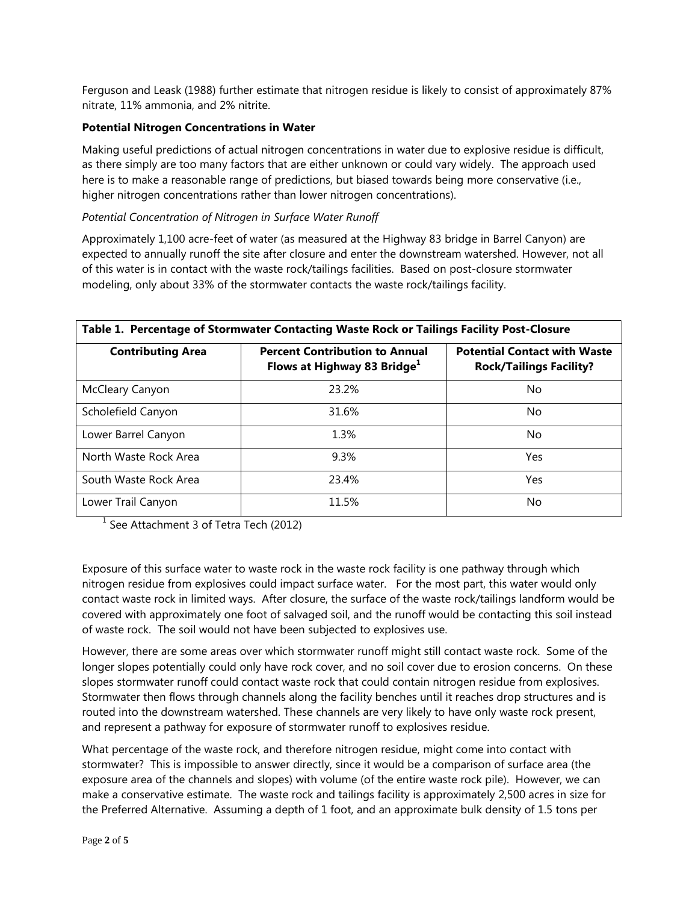Ferguson and Leask (1988) further estimate that nitrogen residue is likely to consist of approximately 87% nitrate, 11% ammonia, and 2% nitrite.

## **Potential Nitrogen Concentrations in Water**

Making useful predictions of actual nitrogen concentrations in water due to explosive residue is difficult, as there simply are too many factors that are either unknown or could vary widely. The approach used here is to make a reasonable range of predictions, but biased towards being more conservative (i.e., higher nitrogen concentrations rather than lower nitrogen concentrations).

## *Potential Concentration of Nitrogen in Surface Water Runoff*

Approximately 1,100 acre-feet of water (as measured at the Highway 83 bridge in Barrel Canyon) are expected to annually runoff the site after closure and enter the downstream watershed. However, not all of this water is in contact with the waste rock/tailings facilities. Based on post-closure stormwater modeling, only about 33% of the stormwater contacts the waste rock/tailings facility.

| Table 1. Percentage of Stormwater Contacting Waste Rock or Tailings Facility Post-Closure |                                                                                  |                                                                       |  |
|-------------------------------------------------------------------------------------------|----------------------------------------------------------------------------------|-----------------------------------------------------------------------|--|
| <b>Contributing Area</b>                                                                  | <b>Percent Contribution to Annual</b><br>Flows at Highway 83 Bridge <sup>1</sup> | <b>Potential Contact with Waste</b><br><b>Rock/Tailings Facility?</b> |  |
| McCleary Canyon                                                                           | 23.2%                                                                            | No                                                                    |  |
| Scholefield Canyon                                                                        | 31.6%                                                                            | No                                                                    |  |
| Lower Barrel Canyon                                                                       | 1.3%                                                                             | No.                                                                   |  |
| North Waste Rock Area                                                                     | 9.3%                                                                             | Yes                                                                   |  |
| South Waste Rock Area                                                                     | 23.4%                                                                            | Yes                                                                   |  |
| Lower Trail Canyon                                                                        | 11.5%                                                                            | No                                                                    |  |

 $<sup>1</sup>$  See Attachment 3 of Tetra Tech (2012)</sup>

Exposure of this surface water to waste rock in the waste rock facility is one pathway through which nitrogen residue from explosives could impact surface water. For the most part, this water would only contact waste rock in limited ways. After closure, the surface of the waste rock/tailings landform would be covered with approximately one foot of salvaged soil, and the runoff would be contacting this soil instead of waste rock. The soil would not have been subjected to explosives use.

However, there are some areas over which stormwater runoff might still contact waste rock. Some of the longer slopes potentially could only have rock cover, and no soil cover due to erosion concerns. On these slopes stormwater runoff could contact waste rock that could contain nitrogen residue from explosives. Stormwater then flows through channels along the facility benches until it reaches drop structures and is routed into the downstream watershed. These channels are very likely to have only waste rock present, and represent a pathway for exposure of stormwater runoff to explosives residue.

What percentage of the waste rock, and therefore nitrogen residue, might come into contact with stormwater? This is impossible to answer directly, since it would be a comparison of surface area (the exposure area of the channels and slopes) with volume (of the entire waste rock pile). However, we can make a conservative estimate. The waste rock and tailings facility is approximately 2,500 acres in size for the Preferred Alternative. Assuming a depth of 1 foot, and an approximate bulk density of 1.5 tons per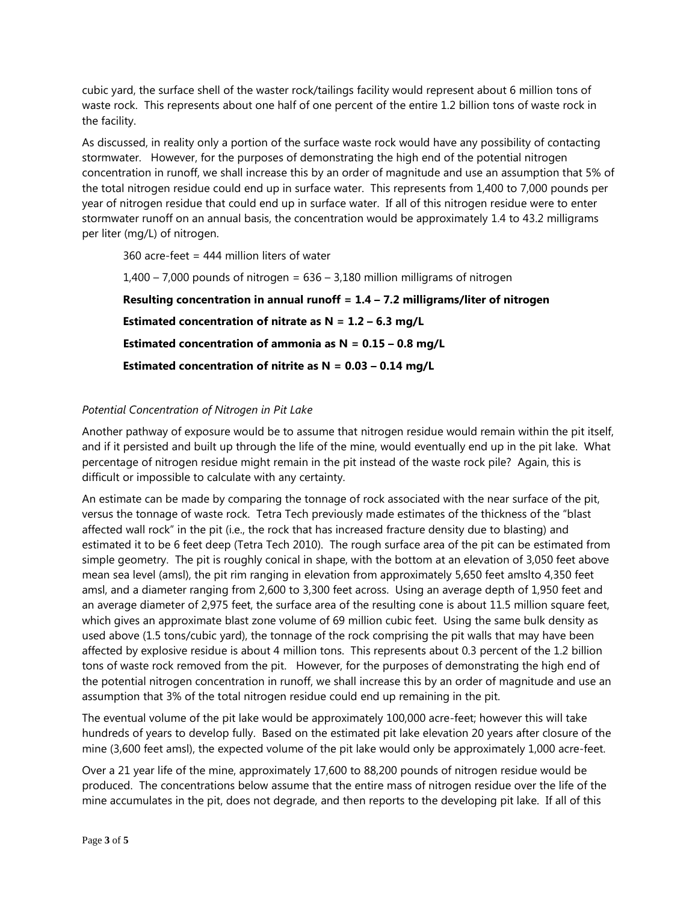cubic yard, the surface shell of the waster rock/tailings facility would represent about 6 million tons of waste rock. This represents about one half of one percent of the entire 1.2 billion tons of waste rock in the facility.

As discussed, in reality only a portion of the surface waste rock would have any possibility of contacting stormwater. However, for the purposes of demonstrating the high end of the potential nitrogen concentration in runoff, we shall increase this by an order of magnitude and use an assumption that 5% of the total nitrogen residue could end up in surface water. This represents from 1,400 to 7,000 pounds per year of nitrogen residue that could end up in surface water. If all of this nitrogen residue were to enter stormwater runoff on an annual basis, the concentration would be approximately 1.4 to 43.2 milligrams per liter (mg/L) of nitrogen.

360 acre-feet = 444 million liters of water

 $1,400 - 7,000$  pounds of nitrogen =  $636 - 3,180$  million milligrams of nitrogen **Resulting concentration in annual runoff = 1.4 – 7.2 milligrams/liter of nitrogen Estimated concentration of nitrate as N = 1.2 – 6.3 mg/L Estimated concentration of ammonia as N = 0.15 – 0.8 mg/L Estimated concentration of nitrite as N = 0.03 – 0.14 mg/L** 

## *Potential Concentration of Nitrogen in Pit Lake*

Another pathway of exposure would be to assume that nitrogen residue would remain within the pit itself, and if it persisted and built up through the life of the mine, would eventually end up in the pit lake. What percentage of nitrogen residue might remain in the pit instead of the waste rock pile? Again, this is difficult or impossible to calculate with any certainty.

An estimate can be made by comparing the tonnage of rock associated with the near surface of the pit, versus the tonnage of waste rock. Tetra Tech previously made estimates of the thickness of the "blast affected wall rock" in the pit (i.e., the rock that has increased fracture density due to blasting) and estimated it to be 6 feet deep (Tetra Tech 2010). The rough surface area of the pit can be estimated from simple geometry. The pit is roughly conical in shape, with the bottom at an elevation of 3,050 feet above mean sea level (amsl), the pit rim ranging in elevation from approximately 5,650 feet amslto 4,350 feet amsl, and a diameter ranging from 2,600 to 3,300 feet across. Using an average depth of 1,950 feet and an average diameter of 2,975 feet, the surface area of the resulting cone is about 11.5 million square feet, which gives an approximate blast zone volume of 69 million cubic feet. Using the same bulk density as used above (1.5 tons/cubic yard), the tonnage of the rock comprising the pit walls that may have been affected by explosive residue is about 4 million tons. This represents about 0.3 percent of the 1.2 billion tons of waste rock removed from the pit. However, for the purposes of demonstrating the high end of the potential nitrogen concentration in runoff, we shall increase this by an order of magnitude and use an assumption that 3% of the total nitrogen residue could end up remaining in the pit.

The eventual volume of the pit lake would be approximately 100,000 acre-feet; however this will take hundreds of years to develop fully. Based on the estimated pit lake elevation 20 years after closure of the mine (3,600 feet amsl), the expected volume of the pit lake would only be approximately 1,000 acre-feet.

Over a 21 year life of the mine, approximately 17,600 to 88,200 pounds of nitrogen residue would be produced. The concentrations below assume that the entire mass of nitrogen residue over the life of the mine accumulates in the pit, does not degrade, and then reports to the developing pit lake. If all of this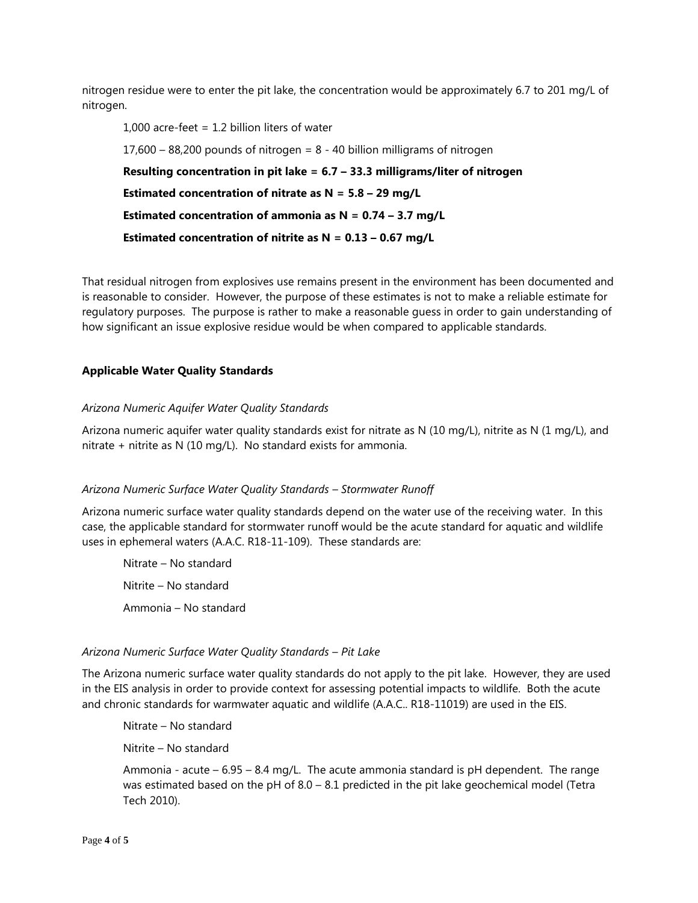nitrogen residue were to enter the pit lake, the concentration would be approximately 6.7 to 201 mg/L of nitrogen.

1,000 acre-feet  $= 1.2$  billion liters of water 17,600 – 88,200 pounds of nitrogen = 8 - 40 billion milligrams of nitrogen **Resulting concentration in pit lake = 6.7 – 33.3 milligrams/liter of nitrogen Estimated concentration of nitrate as N = 5.8 – 29 mg/L Estimated concentration of ammonia as N = 0.74 – 3.7 mg/L Estimated concentration of nitrite as N = 0.13 – 0.67 mg/L**

That residual nitrogen from explosives use remains present in the environment has been documented and is reasonable to consider. However, the purpose of these estimates is not to make a reliable estimate for regulatory purposes. The purpose is rather to make a reasonable guess in order to gain understanding of how significant an issue explosive residue would be when compared to applicable standards.

## **Applicable Water Quality Standards**

## *Arizona Numeric Aquifer Water Quality Standards*

Arizona numeric aquifer water quality standards exist for nitrate as N (10 mg/L), nitrite as N (1 mg/L), and nitrate + nitrite as N (10 mg/L). No standard exists for ammonia.

#### *Arizona Numeric Surface Water Quality Standards – Stormwater Runoff*

Arizona numeric surface water quality standards depend on the water use of the receiving water. In this case, the applicable standard for stormwater runoff would be the acute standard for aquatic and wildlife uses in ephemeral waters (A.A.C. R18-11-109). These standards are:

Nitrate – No standard Nitrite – No standard Ammonia – No standard

#### *Arizona Numeric Surface Water Quality Standards – Pit Lake*

The Arizona numeric surface water quality standards do not apply to the pit lake. However, they are used in the EIS analysis in order to provide context for assessing potential impacts to wildlife. Both the acute and chronic standards for warmwater aquatic and wildlife (A.A.C.. R18-11019) are used in the EIS.

Nitrate – No standard

Nitrite – No standard

Ammonia - acute –  $6.95 - 8.4$  mg/L. The acute ammonia standard is pH dependent. The range was estimated based on the pH of  $8.0 - 8.1$  predicted in the pit lake geochemical model (Tetra Tech 2010).